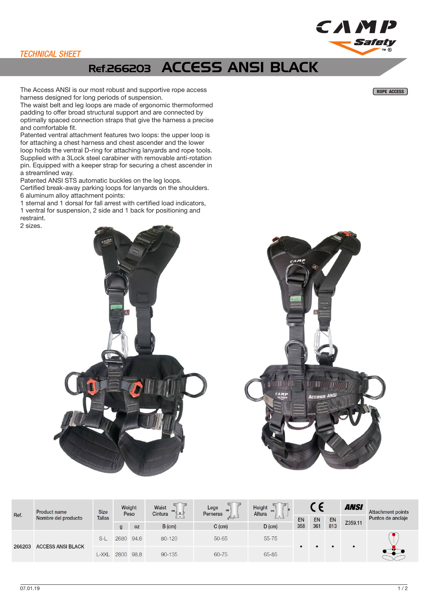## TECHNICAL SHEET

## Ref.266203 ACCESS ANSI BLACK

The Access ANSI is our most robust and supportive rope access ROPE ACCESS ROPE ACCESS ROPE ACCESS harness designed for long periods of suspension.

The waist belt and leg loops are made of ergonomic thermoformed padding to offer broad structural support and are connected by optimally spaced connection straps that give the harness a precise and comfortable fit.

Patented ventral attachment features two loops: the upper loop is for attaching a chest harness and chest ascender and the lower loop holds the ventral D-ring for attaching lanyards and rope tools. Supplied with a 3Lock steel carabiner with removable anti-rotation pin. Equipped with a keeper strap for securing a chest ascender in a streamlined way.

Patented ANSI STS automatic buckles on the leg loops. Certified break-away parking loops for lanyards on the shoulders. 6 aluminum alloy attachment points:

1 sternal and 1 dorsal for fall arrest with certified load indicators, 1 ventral for suspension, 2 side and 1 back for positioning and

restraint.

2 sizes.





| Ref.   | Product name<br>Nombre del producto | <b>Size</b><br><b>Tallas</b> | Weight<br>Peso |           | Waist<br>cm<br>Cintura | Legs<br>Perneras          | Height<br>Altura |           |           |           | <b>ANSI</b> | <b>Attachment points</b> |
|--------|-------------------------------------|------------------------------|----------------|-----------|------------------------|---------------------------|------------------|-----------|-----------|-----------|-------------|--------------------------|
|        |                                     |                              | q              | <b>OZ</b> | $B$ (cm)               | $\rightarrow$<br>$C$ (cm) | $D$ (cm)         | EN<br>358 | EN<br>361 | EN<br>813 | Z359.11     | Puntos de anclaje        |
| 266203 | <b>ACCESS ANSI BLACK</b>            | $S-I$                        | 2680           | 94.6      | $80 - 120$             | 50-65                     | $55 - 75$        | $\bullet$ |           |           |             |                          |
|        |                                     | L-XXL                        | 2800           | 98.8      | $90 - 135$             | 60-75                     | 65-85            |           |           |           |             |                          |